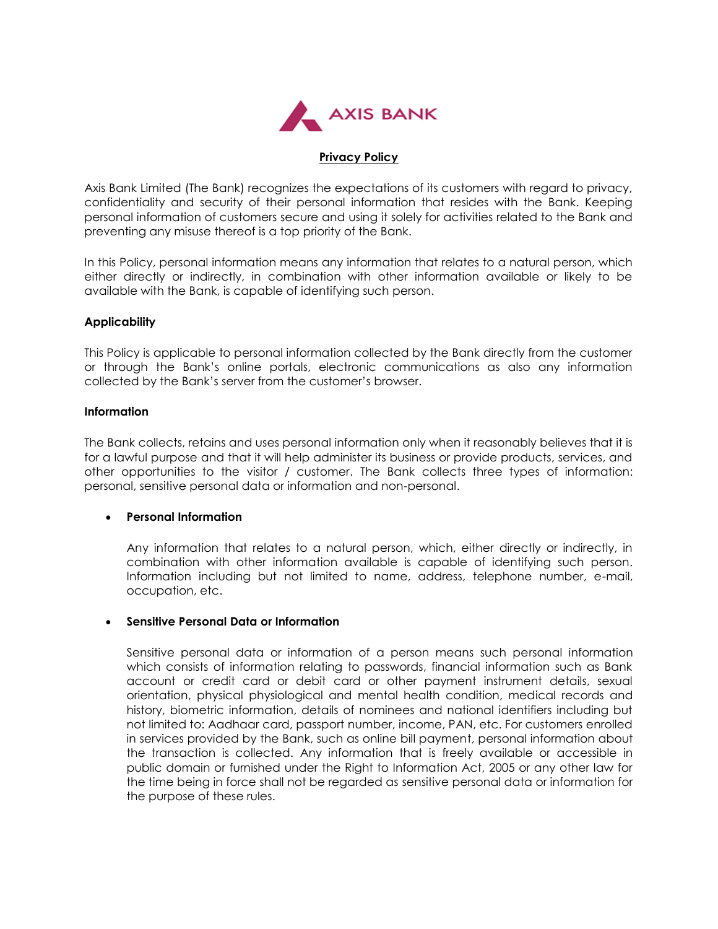

## **Privacy Policy**

Axis Bank Limited (The Bank) recognizes the expectations of its customers with regard to privacy, confidentiality and security of their personal information that resides with the Bank. Keeping personal information of customers secure and using it solely for activities related to the Bank and preventing any misuse thereof is a top priority of the Bank.

In this Policy, personal information means any information that relates to a natural person, which either directly or indirectly, in combination with other information available or likely to be available with the Bank, is capable of identifying such person.

## **Applicability**

This Policy is applicable to personal information collected by the Bank directly from the customer or through the Bank's online portals, electronic communications as also any information collected by the Bank's server from the customer's browser.

#### **Information**

The Bank collects, retains and uses personal information only when it reasonably believes that it is for a lawful purpose and that it will help administer its business or provide products, services, and other opportunities to the visitor / customer. The Bank collects three types of information: personal, sensitive personal data or information and non-personal.

# **Personal Information**

Any information that relates to a natural person, which, either directly or indirectly, in combination with other information available is capable of identifying such person. Information including but not limited to name, address, telephone number, e-mail, occupation, etc.

#### **Sensitive Personal Data or Information**

Sensitive personal data or information of a person means such personal information which consists of information relating to passwords, financial information such as Bank account or credit card or debit card or other payment instrument details, sexual orientation, physical physiological and mental health condition, medical records and history, biometric information, details of nominees and national identifiers including but not limited to: Aadhaar card, passport number, income, PAN, etc. For customers enrolled in services provided by the Bank, such as online bill payment, personal information about the transaction is collected. Any information that is freely available or accessible in public domain or furnished under the Right to Information Act, 2005 or any other law for the time being in force shall not be regarded as sensitive personal data or information for the purpose of these rules.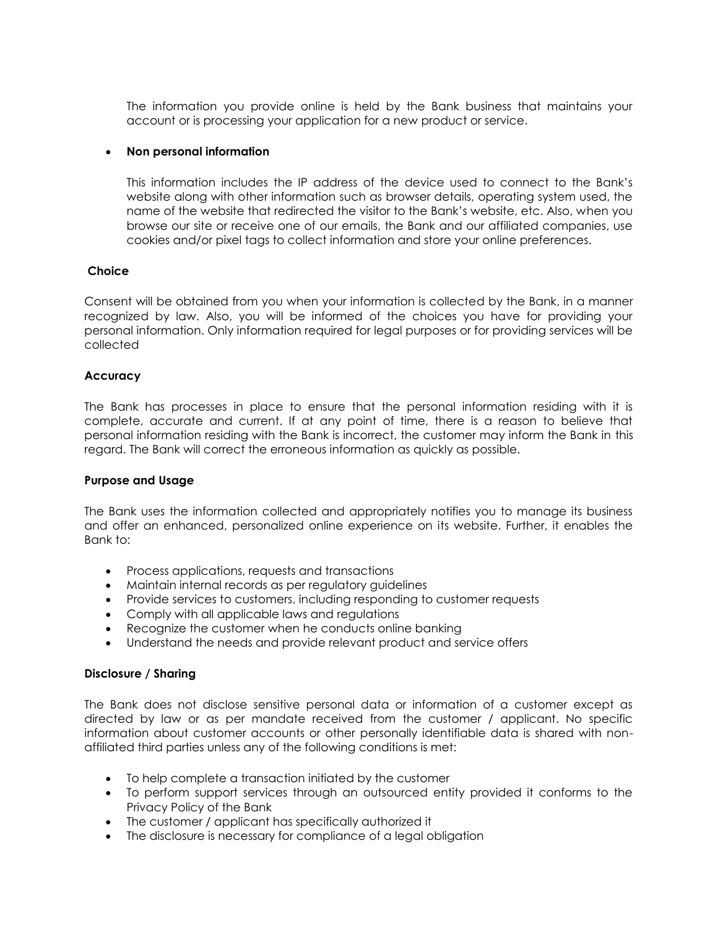The information you provide online is held by the Bank business that maintains your account or is processing your application for a new product or service.

## **Non personal information**

This information includes the IP address of the device used to connect to the Bank's website along with other information such as browser details, operating system used, the name of the website that redirected the visitor to the Bank's website, etc. Also, when you browse our site or receive one of our emails, the Bank and our affiliated companies, use cookies and/or pixel tags to collect information and store your online preferences.

## **Choice**

Consent will be obtained from you when your information is collected by the Bank, in a manner recognized by law. Also, you will be informed of the choices you have for providing your personal information. Only information required for legal purposes or for providing services will be collected

## **Accuracy**

The Bank has processes in place to ensure that the personal information residing with it is complete, accurate and current. If at any point of time, there is a reason to believe that personal information residing with the Bank is incorrect, the customer may inform the Bank in this regard. The Bank will correct the erroneous information as quickly as possible.

#### **Purpose and Usage**

The Bank uses the information collected and appropriately notifies you to manage its business and offer an enhanced, personalized online experience on its website. Further, it enables the Bank to:

- Process applications, requests and transactions
- Maintain internal records as per regulatory guidelines
- Provide services to customers, including responding to customer requests
- Comply with all applicable laws and regulations
- Recognize the customer when he conducts online banking
- Understand the needs and provide relevant product and service offers

#### **Disclosure / Sharing**

The Bank does not disclose sensitive personal data or information of a customer except as directed by law or as per mandate received from the customer / applicant. No specific information about customer accounts or other personally identifiable data is shared with nonaffiliated third parties unless any of the following conditions is met:

- To help complete a transaction initiated by the customer
- To perform support services through an outsourced entity provided it conforms to the Privacy Policy of the Bank
- The customer / applicant has specifically authorized it
- The disclosure is necessary for compliance of a legal obligation